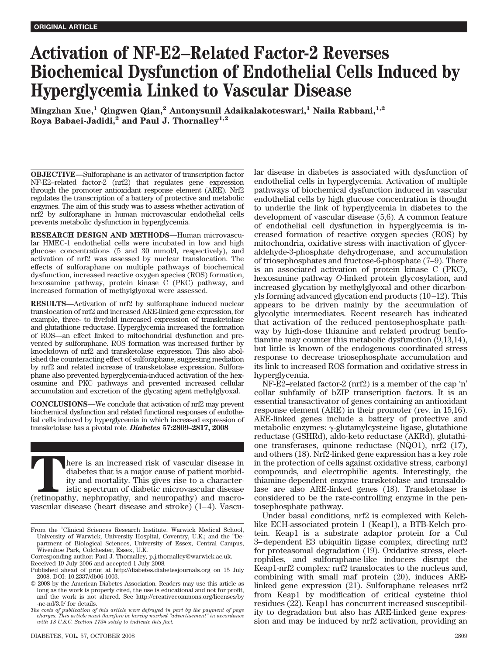# **Activation of NF-E2–Related Factor-2 Reverses Biochemical Dysfunction of Endothelial Cells Induced by Hyperglycemia Linked to Vascular Disease**

**Mingzhan Xue,1 Qingwen Qian,2 Antonysunil Adaikalakoteswari,1 Naila Rabbani,1,2** Roya Babaei-Jadidi,<sup>2</sup> and Paul J. Thornalley<sup>1,2</sup>

**OBJECTIVE—**Sulforaphane is an activator of transcription factor NF-E2–related factor-2 (nrf2) that regulates gene expression through the promoter antioxidant response element (ARE). Nrf2 regulates the transcription of a battery of protective and metabolic enzymes. The aim of this study was to assess whether activation of nrf2 by sulforaphane in human microvascular endothelial cells prevents metabolic dysfunction in hyperglycemia.

**RESEARCH DESIGN AND METHODS—**Human microvascular HMEC-1 endothelial cells were incubated in low and high glucose concentrations (5 and 30 mmol/l, respectively), and activation of nrf2 was assessed by nuclear translocation. The effects of sulforaphane on multiple pathways of biochemical dysfunction, increased reactive oxygen species (ROS) formation, hexosamine pathway, protein kinase C (PKC) pathway, and increased formation of methylglyoxal were assessed.

**RESULTS—**Activation of nrf2 by sulforaphane induced nuclear translocation of nrf2 and increased ARE-linked gene expression, for example, three- to fivefold increased expression of transketolase and glutathione reductase. Hyperglycemia increased the formation of ROS—an effect linked to mitochondrial dysfunction and prevented by sulforaphane. ROS formation was increased further by knockdown of nrf2 and transketolase expression. This also abolished the counteracting effect of sulforaphane, suggesting mediation by nrf2 and related increase of transketolase expression. Sulforaphane also prevented hyperglycemia-induced activation of the hexosamine and PKC pathways and prevented increased cellular accumulation and excretion of the glycating agent methylglyoxal.

**CONCLUSIONS—**We conclude that activation of nrf2 may prevent biochemical dysfunction and related functional responses of endothelial cells induced by hyperglycemia in which increased expression of transketolase has a pivotal role. *Diabetes* **57:2809–2817, 2008**

There is an increased risk of vascular disease in diabetes that is a major cause of patient morbidity and mortality. This gives rise to a characteristic spectrum of diabetic microvascular disease (retinopathy, nephropathy, diabetes that is a major cause of patient morbidity and mortality. This gives rise to a characteristic spectrum of diabetic microvascular disease vascular disease (heart disease and stroke) (1–4). Vascu-

DIABETES, VOL. 57, OCTOBER 2008 2809

lar disease in diabetes is associated with dysfunction of endothelial cells in hyperglycemia. Activation of multiple pathways of biochemical dysfunction induced in vascular endothelial cells by high glucose concentration is thought to underlie the link of hyperglycemia in diabetes to the development of vascular disease (5,6). A common feature of endothelial cell dysfunction in hyperglycemia is increased formation of reactive oxygen species (ROS) by mitochondria, oxidative stress with inactivation of glyceraldehyde-3-phosphate dehydrogenase, and accumulation of triosephosphates and fructose-6-phosphate (7–9). There is an associated activation of protein kinase C (PKC), hexosamine pathway *O*-linked protein glycosylation, and increased glycation by methylglyoxal and other dicarbonyls forming advanced glycation end products (10–12). This appears to be driven mainly by the accumulation of glycolytic intermediates. Recent research has indicated that activation of the reduced pentosephosphate pathway by high-dose thiamine and related prodrug benfotiamine may counter this metabolic dysfunction (9,13,14), but little is known of the endogenous coordinated stress response to decrease triosephosphate accumulation and its link to increased ROS formation and oxidative stress in hyperglycemia.

NF-E2–related factor-2 (nrf2) is a member of the cap 'n' collar subfamily of bZIP transcription factors. It is an essential transactivator of genes containing an antioxidant response element (ARE) in their promoter (rev. in 15,16). ARE-linked genes include a battery of protective and metabolic enzymes:  $\gamma$ -glutamylcysteine ligase, glutathione reductase (GSHRd), aldo-keto reductase (AKRd), glutathione transferases, quinone reductase (NQO1), nrf2 (17), and others (18). Nrf2-linked gene expression has a key role in the protection of cells against oxidative stress, carbonyl compounds, and electrophilic agents. Interestingly, the thiamine-dependent enzyme transketolase and transaldolase are also ARE-linked genes (18). Transketolase is considered to be the rate-controlling enzyme in the pentosephosphate pathway.

Under basal conditions, nrf2 is complexed with Kelchlike ECH-associated protein 1 (Keap1), a BTB-Kelch protein. Keap1 is a substrate adaptor protein for a Cul 3–dependent E3 ubiquitin ligase complex, directing nrf2 for proteasomal degradation (19). Oxidative stress, electrophiles, and sulforaphane-like inducers disrupt the Keap1-nrf2 complex: nrf2 translocates to the nucleus and, combining with small maf protein (20), induces ARElinked gene expression (21). Sulforaphane releases nrf2 from Keap1 by modification of critical cysteine thiol residues (22). Keap1 has concurrent increased susceptibility to degradation but also has ARE-linked gene expression and may be induced by nrf2 activation, providing an

From the <sup>1</sup>Clinical Sciences Research Institute, Warwick Medical School, University of Warwick, University Hospital, Coventry, U.K.; and the <sup>2</sup>Department of Biological Sciences, University of Essex, Central Campus, Wivenhoe Park, Colchester, Essex, U.K.

Corresponding author: Paul J. Thornalley, p.j.thornalley@warwick.ac.uk.

Received 19 July 2006 and accepted 1 July 2008.

Published ahead of print at http://diabetes.diabetesjournals.org on 15 July 2008. DOI: 10.2337/db06-1003.

<sup>© 2008</sup> by the American Diabetes Association. Readers may use this article as long as the work is properly cited, the use is educational and not for profit, and the work is not altered. See http://creativecommons.org/licenses/by -nc-nd/3.0/ for details.

*The costs of publication of this article were defrayed in part by the payment of page charges. This article must therefore be hereby marked "advertisement" in accordance with 18 U.S.C. Section 1734 solely to indicate this fact.*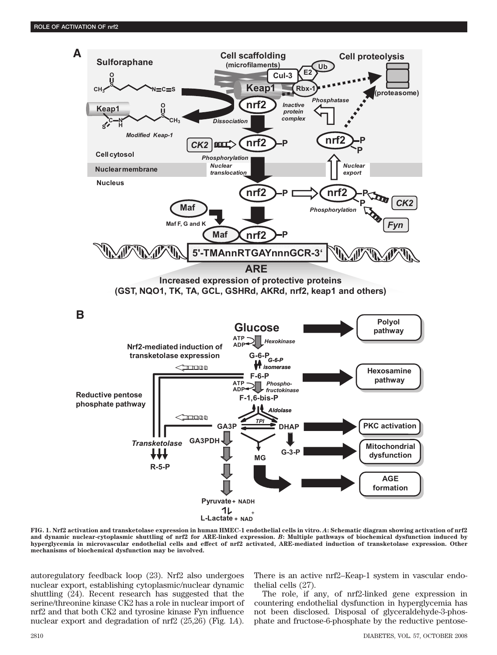

**FIG. 1. Nrf2 activation and transketolase expression in human HMEC-1 endothelial cells in vitro.** *A***: Schematic diagram showing activation of nrf2 and dynamic nuclear-cytoplasmic shuttling of nrf2 for ARE-linked expression.** *B***: Multiple pathways of biochemical dysfunction induced by hyperglycemia in microvascular endothelial cells and effect of nrf2 activated, ARE-mediated induction of transketolase expression. Other mechanisms of biochemical dysfunction may be involved.**

autoregulatory feedback loop (23). Nrf2 also undergoes nuclear export, establishing cytoplasmic/nuclear dynamic shuttling (24). Recent research has suggested that the serine/threonine kinase CK2 has a role in nuclear import of nrf2 and that both CK2 and tyrosine kinase Fyn influence nuclear export and degradation of nrf2 (25,26) (Fig. 1*A*). There is an active nrf2–Keap-1 system in vascular endothelial cells (27).

The role, if any, of nrf2-linked gene expression in countering endothelial dysfunction in hyperglycemia has not been disclosed. Disposal of glyceraldehyde-3-phosphate and fructose-6-phosphate by the reductive pentose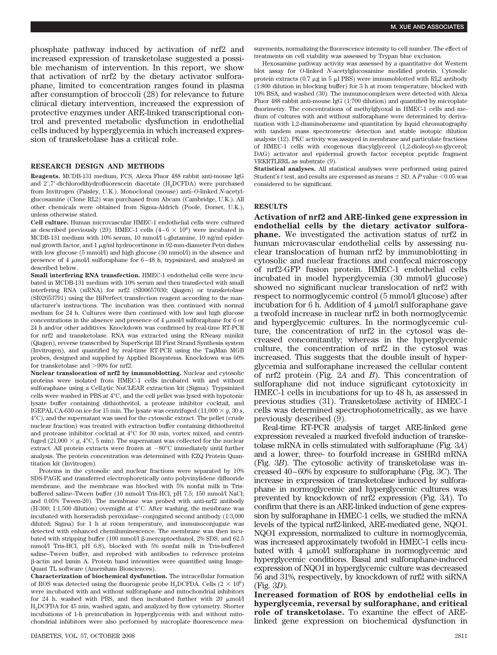phosphate pathway induced by activation of nrf2 and increased expression of transketolase suggested a possible mechanism of intervention. In this report, we show that activation of nrf2 by the dietary activator sulforaphane, limited to concentration ranges found in plasma after consumption of broccoli (28) for relevance to future clinical dietary intervention, increased the expression of protective enzymes under ARE-linked transcriptional control and prevented metabolic dysfunction in endothelial cells induced by hyperglycemia in which increased expression of transketolase has a critical role.

### **RESEARCH DESIGN AND METHODS**

**Reagents.** MCDB-131 medium, FCS, Alexa Fluor 488 rabbit anti-mouse IgG and 2',7'-dichlorodihydrofluorescein diacetate (H<sub>2</sub>DCFDA) were purchased from Invitrogen (Paisley, U.K.). Monoclonal (mouse) anti–*O*-linked *N*-acetylglucosamine (Clone RL2) was purchased from Abcam (Cambridge, U.K.). All other chemicals were obtained from Sigma-Aldrich (Poole, Dorset, U.K.), unless otherwise stated.

**Cell culture.** Human microvascular HMEC-1 endothelial cells were cultured as described previously (29). HMEC-1 cells  $(4-6 \times 10^6)$  were incubated in MCDB-131 medium with 10% serum, 10 mmol/l L-glutamine, 10 ng/ml epidermal growth factor, and  $1 \mu$ g/ml hydrocortisone in 92-mm-diameter Petri dishes with low glucose (5 mmol/l) and high glucose (30 mmol/l) in the absence and presence of 4  $\mu$ mol/l sulforaphane for 6–48 h, trypsinized, and analyzed as described below.

**Small interfering RNA transfection.** HMEC-1 endothelial cells were incubated in MCDB-131 medium with 10% serum and then transfected with small interfering RNA (siRNA) for nrf2 (SI00657030; Qiagen) or transketolase (SI02653791) using the HiPerfect transfection reagent according to the manufacturer's instructions. The incubation was then continued with normal medium for 24 h. Cultures were then continued with low and high glucose concentrations in the absence and presence of  $4 \mu$ mol/l sulforaphane for 6 or 24 h and/or other additives. Knockdown was confirmed by real-time RT-PCR for nrf2 and transketolase. RNA was extracted using the RNeasy minikit (Qiagen), reverse transcribed by SuperScript III First Strand Synthesis system (Invitrogen), and quantified by real-time RT-PCR using the TaqMan MGB probes, designed and supplied by Applied Biosystems. Knockdown was 60% for transketolase and  ${>}90\%$  for nrf2.

**Nuclear translocation of nrf2 by immunoblotting.** Nuclear and cytosolic proteins were isolated from HMEC-1 cells incubated with and without sulforaphane using a CelLytic NuCLEAR extraction kit (Sigma). Trypsinized cells were washed in PBS at 4°C, and the cell pellet was lysed with hypotonic lysate buffer containing dithiothreitol, a protease inhibitor cocktail, and IGEPAL CA-630 on ice for 15 min. The lysate was centrifuged  $(11,000 \times g, 30 \text{ s},$ 4°C), and the supernatant was used for the cytosolic extract. The pellet (crude nuclear fraction) was treated with extraction buffer containing dithiothreitol and protease inhibitor cocktail at 4°C for 30 min, vortex mixed, and centrifuged  $(21,000 \times g, 4^{\circ}\text{C}, 5 \text{ min})$ . The supernatant was collected for the nuclear extract. All protein extracts were frozen at  $-80^{\circ}$ C immediately until further analysis. The protein concentration was determined with EZQ Protein Quantitation kit (Invitrogen).

Proteins in the cytosolic and nuclear fractions were separated by 10% SDS-PAGE and transferred electrophoretically onto polyvinylidene difluoride membrane, and the membrane was blocked with 5% nonfat milk in Trisbuffered saline–Tween buffer (10 mmol/l Tris-HCl, pH 7.5; 150 mmol/l NaCl; and 0.05% Tween-20). The membrane was probed with anti-nrf2 antibody (H-300; 1:1,500 dilution) overnight at 4°C. After washing, the membrane was incubated with horseradish peroxidase–conjugated second antibody (1:3,000 diluted; Sigma) for 1 h at room temperature, and immunoconjugate was detected with enhanced chemiluminescence. The membrane was then incubated with stripping buffer (100 mmol/l  $\beta$ -mercaptoethanol, 2% SDS, and 62.5 mmol/l Tris-HCl, pH 6.8), blocked with 5% nonfat milk in Tris-buffered saline–Tween buffer, and reprobed with antibodies to reference proteins -actin and lamin A. Protein band intensities were quantified using Image-Quant TL software (Amersham Biosciences).

**Characterization of biochemical dysfunction.** The intracellular formation of ROS was detected using the fluorogenic probe H<sub>2</sub>DCFDA. Cells (2  $\times$   $10^6)$ were incubated with and without sulforaphane and mitochondrial inhibitors for 24 h, washed with PBS, and then incubated further with 20  $\mu$ mol/l H2DCFDA for 45 min, washed again, and analyzed by flow cytometry. Shorter incubations of 1-h preincubation in hyperglycemia with and without mitochondrial inhibitors were also performed by microplate fluorescence mea-

Hexosamine pathway activity was assessed by a quantitative dot Western blot assay for *O*-linked *N*-acetylglucosamine modified protein. Cytosolic protein extracts (0.7  $\mu$ g in 5  $\mu$ l PBS) were immunoblotted with RL2 antibody (1:800 dilution in blocking buffer) for 3 h at room temperature, blocked with 10% BSA, and washed (30). The immunocomplexes were detected with Alexa Fluor 488 rabbit anti-mouse IgG (1:700 dilution) and quantified by microplate fluorimetry. The concentrations of methylglyoxal in HMEC-1 cells and medium of cultures with and without sulforaphane were determined by derivatization with 1,2-diaminobenzene and quantitation by liquid chromatography with tandem mass spectrometric detection and stable isotopic dilution analysis (12). PKC activity was assayed in membrane and particulate fractions of HMEC-1 cells with exogenous diacylglycerol (1,2-dioleoyl-*sn*-glycerol; DAG) activator and epidermal growth factor receptor peptide fragment VRKRTLRRL as substrate (9).

**Statistical analyses.** All statistical analyses were performed using paired Student's  $t$  test, and results are expressed as means  $\pm$  SD. A  $P$  value <0.05 was considered to be significant.

#### **RESULTS**

**Activation of nrf2 and ARE-linked gene expression in endothelial cells by the dietary activator sulforaphane.** We investigated the activation status of nrf2 in human microvascular endothelial cells by assessing nuclear translocation of human nrf2 by immunoblotting in cytosolic and nuclear fractions and confocal microscopy of nrf2-GFP fusion protein. HMEC-1 endothelial cells incubated in model hyperglycemia (30 mmol/l glucose) showed no significant nuclear translocation of nrf2 with respect to normoglycemic control (5 mmol/l glucose) after incubation for 6 h. Addition of 4  $\mu$ mol/l sulforaphane gave a twofold increase in nuclear nrf2 in both normoglycemic and hyperglycemic cultures. In the normoglycemic culture, the concentration of nrf2 in the cytosol was decreased concomitantly; whereas in the hyperglycemic culture, the concentration of nrf2 in the cytosol was increased. This suggests that the double insult of hyperglycemia and sulforaphane increased the cellular content of nrf2 protein (Fig. 2*A* and *B*). This concentration of sulforaphane did not induce significant cytotoxicity in HMEC-1 cells in incubations for up to 48 h, as assessed in previous studies (31). Transketolase activity of HMEC-1 cells was determined spectrophotometrically, as we have previously described (9).

Real-time RT-PCR analysis of target ARE-linked gene expression revealed a marked fivefold induction of transketolase mRNA in cells stimulated with sulforaphane (Fig. 3*A*) and a lower, three- to fourfold increase in GSHRd mRNA (Fig. 3*B*). The cytosolic activity of transketolase was increased 40–60% by exposure to sulforaphane (Fig. 3*C*). The increase in expression of transketolase induced by sulforaphane in normoglycemic and hyperglycemic cultures was prevented by knockdown of nrf2 expression (Fig. 3*A*). To confirm that there is an ARE-linked induction of gene expression by sulforaphane in HMEC-1 cells, we studied the mRNA levels of the typical nrf2-linked, ARE-mediated gene, NQO1. NQO1 expression, normalized to culture in normoglycemia, was increased approximately twofold in HMEC-1 cells incubated with 4  $\mu$ mol/l sulforaphane in normoglycemic and hyperglycemic conditions. Basal and sulforaphane-induced expression of NQO1 in hyperglycemic culture was decreased 56 and 31%, respectively, by knockdown of nrf2 with siRNA (Fig. 3*D*).

**Increased formation of ROS by endothelial cells in hyperglycemia, reversal by sulforaphane, and critical role of transketolase.** To examine the effect of ARElinked gene expression on biochemical dysfunction in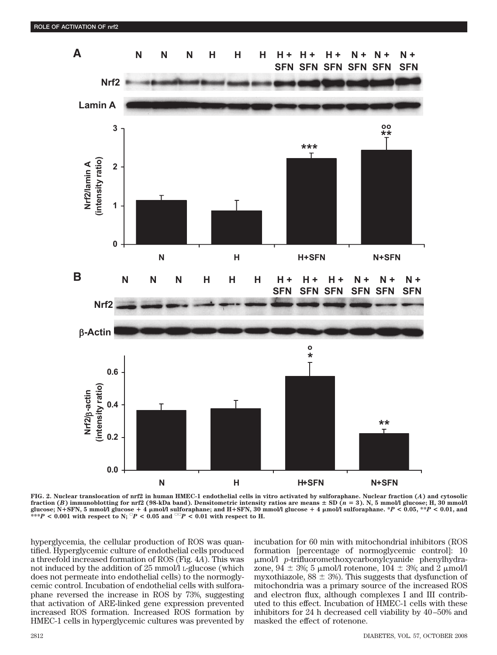

**FIG. 2. Nuclear translocation of nrf2 in human HMEC-1 endothelial cells in vitro activated by sulforaphane. Nuclear fraction (***A***) and cytosolic** fraction (*B*) immunoblotting for nrf2 (98-kDa band). Densitometric intensity ratios are means ± SD (*n* = 3). N, 5 mmol/l glucose; H, 30 mmol/l<br>glucose; N+SFN, 5 mmol/l glucose + 4 µmol/l sulforaphane; and H+SFN, 30 mmol/ \*\*\* $P$  < 0.001 with respect to N;  $^{\circ}P$  < 0.05 and  $^{\circ\circ}P$  < 0.01 with respect to H.

hyperglycemia, the cellular production of ROS was quantified. Hyperglycemic culture of endothelial cells produced a threefold increased formation of ROS (Fig. 4*A*). This was not induced by the addition of 25 mmol/l L-glucose (which does not permeate into endothelial cells) to the normoglycemic control. Incubation of endothelial cells with sulforaphane reversed the increase in ROS by 73%, suggesting that activation of ARE-linked gene expression prevented increased ROS formation. Increased ROS formation by HMEC-1 cells in hyperglycemic cultures was prevented by incubation for 60 min with mitochondrial inhibitors (ROS formation [percentage of normoglycemic control]: 10 mol/l *p*-trifluoromethoxycarbonylcyanide phenylhydrazone,  $94 \pm 3\%$ ; 5 µmol/l rotenone,  $104 \pm 3\%$ ; and 2 µmol/l myxothiazole,  $88 \pm 3\%$ ). This suggests that dysfunction of mitochondria was a primary source of the increased ROS and electron flux, although complexes I and III contributed to this effect. Incubation of HMEC-1 cells with these inhibitors for 24 h decreased cell viability by 40–50% and masked the effect of rotenone.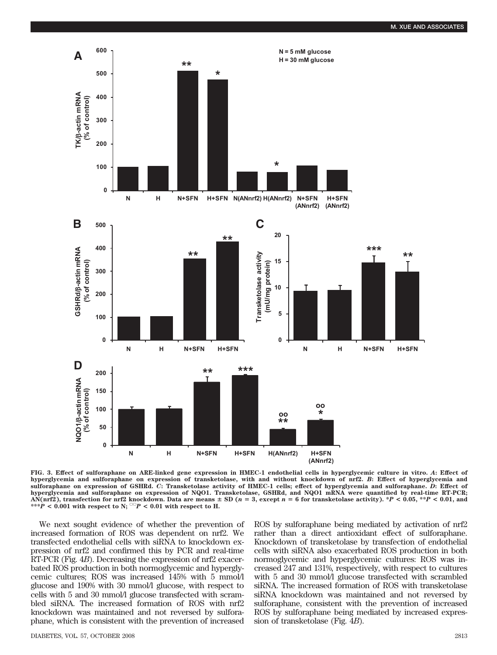

**FIG. 3. Effect of sulforaphane on ARE-linked gene expression in HMEC-1 endothelial cells in hyperglycemic culture in vitro.** *A***: Effect of hyperglycemia and sulforaphane on expression of transketolase, with and without knockdown of nrf2.** *B***: Effect of hyperglycemia and sulforaphane on expression of GSHRd.** *C***: Transketolase activity of HMEC-1 cells; effect of hyperglycemia and sulforaphane.** *D***: Effect of hyperglycemia and sulforaphane on expression of NQO1. Transketolase, GSHRd, and NQO1 mRNA were quantified by real-time RT-PCR; AN(nrf2), transfection for nrf2 knockdown. Data are means SD (***n* - **3, except** *n* - **6 for transketolase activity). \****P* **< 0.05, \*\****P* **< 0.01, and** \*\*\**P* < 0.001 with respect to N;  $^{>o}P$  < 0.01 with respect to H.

We next sought evidence of whether the prevention of increased formation of ROS was dependent on nrf2. We transfected endothelial cells with siRNA to knockdown expression of nrf2 and confirmed this by PCR and real-time RT-PCR (Fig. 4*B*). Decreasing the expression of nrf2 exacerbated ROS production in both normoglycemic and hyperglycemic cultures; ROS was increased 145% with 5 mmol/l glucose and 190% with 30 mmol/l glucose, with respect to cells with 5 and 30 mmol/l glucose transfected with scrambled siRNA. The increased formation of ROS with nrf2 knockdown was maintained and not reversed by sulforaphane, which is consistent with the prevention of increased

ROS by sulforaphane being mediated by activation of nrf2 rather than a direct antioxidant effect of sulforaphane. Knockdown of transketolase by transfection of endothelial cells with siRNA also exacerbated ROS production in both normoglycemic and hyperglycemic cultures: ROS was increased 247 and 131%, respectively, with respect to cultures with 5 and 30 mmol/l glucose transfected with scrambled siRNA. The increased formation of ROS with transketolase siRNA knockdown was maintained and not reversed by sulforaphane, consistent with the prevention of increased ROS by sulforaphane being mediated by increased expression of transketolase (Fig. 4*B*).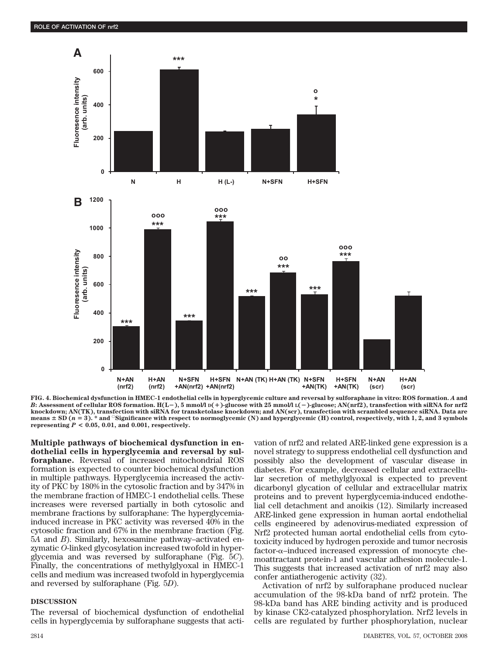

**FIG. 4. Biochemical dysfunction in HMEC-1 endothelial cells in hyperglycemic culture and reversal by sulforaphane in vitro: ROS formation.** *A* **and** *B***: Assessment of cellular ROS formation. H(L), 5 mmol/l D()-glucose with 25 mmol/l L()-glucose; AN(nrf2), transfection with siRNA for nrf2 knockdown; AN(TK), transfection with siRNA for transketolase knockdown; and AN(scr), transfection with scrambled sequence siRNA. Data are**  $\frac{\text{max of } \text{S}(\text{p} \mid \text{a} = 3)}{\text{min of } \text{S}(\text{p} \mid \text{a} = 3)}$ , \* and  $\frac{\text{Signification}}{\text{Signification}}$  with respect to normoglycemic (N) and hyperglycemic (H) control, respectively, with 1, 2, and 3 symbols **representing**  $P < 0.05$ , 0.01, and 0.001, respectively.

**Multiple pathways of biochemical dysfunction in endothelial cells in hyperglycemia and reversal by sulforaphane.** Reversal of increased mitochondrial ROS formation is expected to counter biochemical dysfunction in multiple pathways. Hyperglycemia increased the activity of PKC by 180% in the cytosolic fraction and by 347% in the membrane fraction of HMEC-1 endothelial cells. These increases were reversed partially in both cytosolic and membrane fractions by sulforaphane: The hyperglycemiainduced increase in PKC activity was reversed 40% in the cytosolic fraction and 67% in the membrane fraction (Fig. 5*A* and *B*). Similarly, hexosamine pathway–activated enzymatic *O*-linked glycosylation increased twofold in hyperglycemia and was reversed by sulforaphane (Fig. 5*C*). Finally, the concentrations of methylglyoxal in HMEC-1 cells and medium was increased twofold in hyperglycemia and reversed by sulforaphane (Fig. 5*D*).

#### **DISCUSSION**

The reversal of biochemical dysfunction of endothelial cells in hyperglycemia by sulforaphane suggests that activation of nrf2 and related ARE-linked gene expression is a novel strategy to suppress endothelial cell dysfunction and possibly also the development of vascular disease in diabetes. For example, decreased cellular and extracellular secretion of methylglyoxal is expected to prevent dicarbonyl glycation of cellular and extracellular matrix proteins and to prevent hyperglycemia-induced endothelial cell detachment and anoikis (12). Similarly increased ARE-linked gene expression in human aortal endothelial cells engineered by adenovirus-mediated expression of Nrf2 protected human aortal endothelial cells from cytotoxicity induced by hydrogen peroxide and tumor necrosis factor- –induced increased expression of monocyte chemoattractant protein-1 and vascular adhesion molecule-1. This suggests that increased activation of nrf2 may also confer antiatherogenic activity (32).

Activation of nrf2 by sulforaphane produced nuclear accumulation of the 98-kDa band of nrf2 protein. The 98-kDa band has ARE binding activity and is produced by kinase CK2-catalyzed phosphorylation. Nrf2 levels in cells are regulated by further phosphorylation, nuclear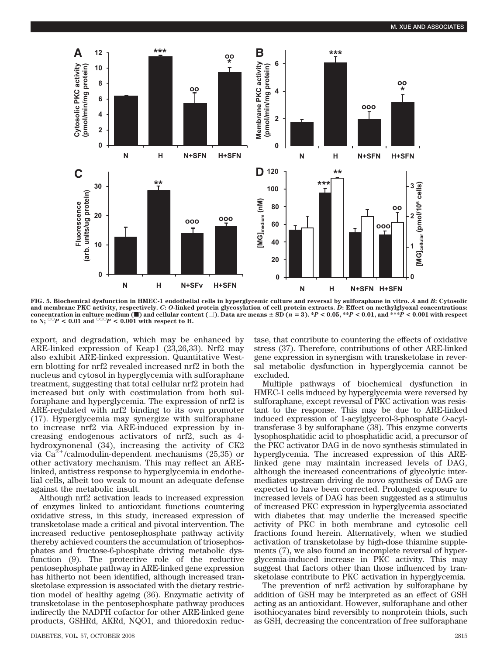

**FIG. 5. Biochemical dysfunction in HMEC-1 endothelial cells in hyperglycemic culture and reversal by sulforaphane in vitro.** *A* **and** *B***: Cytosolic and membrane PKC activity, respectively.** *C***:** *O***-linked protein glycosylation of cell protein extracts.** *D***: Effect on methylglyoxal concentrations:** concentration in culture medium ( $\blacksquare$ ) and cellular content ( $\Box$ ). Data are means  $\pm$  SD ( $n=3$ ). \*P < 0.05, \*\*P < 0.01, and \*\*\*P < 0.001 with respect to N;  $\degree$ P < 0.01 and  $\degree$  P < 0.001 with respect to H.

export, and degradation, which may be enhanced by ARE-linked expression of Keap1 (23,26,33). Nrf2 may also exhibit ARE-linked expression. Quantitative Western blotting for nrf2 revealed increased nrf2 in both the nucleus and cytosol in hyperglycemia with sulforaphane treatment, suggesting that total cellular nrf2 protein had increased but only with costimulation from both sulforaphane and hyperglycemia. The expression of nrf2 is ARE-regulated with nrf2 binding to its own promoter (17). Hyperglycemia may synergize with sulforaphane to increase nrf2 via ARE-induced expression by increasing endogenous activators of nrf2, such as 4 hydroxynonenal (34), increasing the activity of CK2 via  $Ca^{2+}/calmodulin-dependent mechanisms (25,35)$  or other activatory mechanism. This may reflect an ARElinked, antistress response to hyperglycemia in endothelial cells, albeit too weak to mount an adequate defense against the metabolic insult.

Although nrf2 activation leads to increased expression of enzymes linked to antioxidant functions countering oxidative stress, in this study, increased expression of transketolase made a critical and pivotal intervention. The increased reductive pentosephosphate pathway activity thereby achieved counters the accumulation of triosephosphates and fructose-6-phosphate driving metabolic dysfunction (9). The protective role of the reductive pentosephosphate pathway in ARE-linked gene expression has hitherto not been identified, although increased transketolase expression is associated with the dietary restriction model of healthy ageing (36). Enzymatic activity of transketolase in the pentosephosphate pathway produces indirectly the NADPH cofactor for other ARE-linked gene products, GSHRd, AKRd, NQO1, and thioredoxin reduc-

DIABETES, VOL. 57, OCTOBER 2008 2815

tase, that contribute to countering the effects of oxidative stress (37). Therefore, contributions of other ARE-linked gene expression in synergism with transketolase in reversal metabolic dysfunction in hyperglycemia cannot be excluded.

Multiple pathways of biochemical dysfunction in HMEC-1 cells induced by hyperglycemia were reversed by sulforaphane, except reversal of PKC activation was resistant to the response. This may be due to ARE-linked induced expression of 1-acylglycerol-3-phosphate *O*-acyltransferase 3 by sulforaphane (38). This enzyme converts lysophosphatidic acid to phosphatidic acid, a precursor of the PKC activator DAG in de novo synthesis stimulated in hyperglycemia. The increased expression of this ARElinked gene may maintain increased levels of DAG, although the increased concentrations of glycolytic intermediates upstream driving de novo synthesis of DAG are expected to have been corrected. Prolonged exposure to increased levels of DAG has been suggested as a stimulus of increased PKC expression in hyperglycemia associated with diabetes that may underlie the increased specific activity of PKC in both membrane and cytosolic cell fractions found herein. Alternatively, when we studied activation of transketolase by high-dose thiamine supplements (7), we also found an incomplete reversal of hyperglycemia-induced increase in PKC activity. This may suggest that factors other than those influenced by transketolase contribute to PKC activation in hyperglycemia.

The prevention of nrf2 activation by sulforaphane by addition of GSH may be interpreted as an effect of GSH acting as an antioxidant. However, sulforaphane and other isothiocyanates bind reversibly to nonprotein thiols, such as GSH, decreasing the concentration of free sulforaphane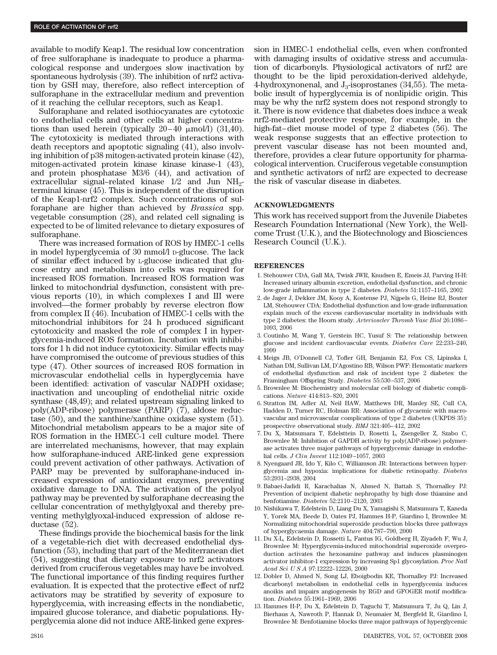available to modify Keap1. The residual low concentration of free sulforaphane is inadequate to produce a pharmacological response and undergoes slow inactivation by spontaneous hydrolysis (39). The inhibition of nrf2 activation by GSH may, therefore, also reflect interception of sulforaphane in the extracellular medium and prevention of it reaching the cellular receptors, such as Keap1.

Sulforaphane and related isothiocyanates are cytotoxic to endothelial cells and other cells at higher concentrations than used herein (typically  $20-40 \mu$ mol/l)  $(31,40)$ . The cytotoxicity is mediated through interactions with death receptors and apoptotic signaling (41), also involving inhibition of p38 mitogen-activated protein kinase (42), mitogen-activated protein kinase kinase kinase-1 (43), and protein phosphatase M3/6 (44), and activation of extracellular signal–related kinase  $1/2$  and Jun NH<sub>2</sub>terminal kinase (45). This is independent of the disruption of the Keap1-nrf2 complex. Such concentrations of sulforaphane are higher than achieved by *Brassica* spp. vegetable consumption (28), and related cell signaling is expected to be of limited relevance to dietary exposures of sulforaphane.

There was increased formation of ROS by HMEC-1 cells in model hyperglycemia of 30 mmol/l D-glucose. The lack of similar effect induced by L-glucose indicated that glucose entry and metabolism into cells was required for increased ROS formation. Increased ROS formation was linked to mitochondrial dysfunction, consistent with previous reports (10), in which complexes I and III were involved—the former probably by reverse electron flow from complex II (46). Incubation of HMEC-1 cells with the mitochondrial inhibitors for 24 h produced significant cytotoxicity and masked the role of complex I in hyperglycemia-induced ROS formation. Incubation with inhibitors for 1 h did not induce cytotoxicity. Similar effects may have compromised the outcome of previous studies of this type (47). Other sources of increased ROS formation in microvascular endothelial cells in hyperglycemia have been identified: activation of vascular NADPH oxidase; inactivation and uncoupling of endothelial nitric oxide synthase (48,49); and related upstream signaling linked to poly(ADP-ribose) polymerase (PARP) (7), aldose reductase (50), and the xanthine/xanthine oxidase system (51). Mitochondrial metabolism appears to be a major site of ROS formation in the HMEC-1 cell culture model. There are interrelated mechanisms, however, that may explain how sulforaphane-induced ARE-linked gene expression could prevent activation of other pathways. Activation of PARP may be prevented by sulforaphane-induced increased expression of antioxidant enzymes, preventing oxidative damage to DNA. The activation of the polyol pathway may be prevented by sulforaphane decreasing the cellular concentration of methylglyoxal and thereby preventing methylglyoxal-induced expression of aldose reductase (52).

These findings provide the biochemical basis for the link of a vegetable-rich diet with decreased endothelial dysfunction (53), including that part of the Mediterranean diet (54), suggesting that dietary exposure to nrf2 activators derived from cruciferous vegetables may have be involved. The functional importance of this finding requires further evaluation. It is expected that the protective effect of nrf2 activators may be stratified by severity of exposure to hyperglycemia, with increasing effects in the nondiabetic, impaired glucose tolerance, and diabetic populations. Hyperglycemia alone did not induce ARE-linked gene expression in HMEC-1 endothelial cells, even when confronted with damaging insults of oxidative stress and accumulation of dicarbonyls. Physiological activators of nrf2 are thought to be the lipid peroxidation-derived aldehyde, 4-hydroxynonenal, and  $J_3$ -isoprostanes (34,55). The metabolic insult of hyperglycemia is of nonlipidic origin. This may be why the nrf2 system does not respond strongly to it. There is now evidence that diabetes does induce a weak nrf2-mediated protective response, for example, in the high-fat–diet mouse model of type 2 diabetes (56). The weak response suggests that an effective protection to prevent vascular disease has not been mounted and, therefore, provides a clear future opportunity for pharmacological intervention. Cruciferous vegetable consumption and synthetic activators of nrf2 are expected to decrease the risk of vascular disease in diabetes.

## **ACKNOWLEDGMENTS**

This work has received support from the Juvenile Diabetes Research Foundation International (New York), the Wellcome Trust (U.K.), and the Biotechnology and Biosciences Research Council (U.K.).

#### **REFERENCES**

- 1. Stehouwer CDA, Gall MA, Twisk JWR, Knudsen E, Emeis JJ, Parving H-H: Increased urinary albumin excretion, endothelial dysfunction, and chronic low-grade inflammation in type 2 diabetes. *Diabetes* 51:1157–1165, 2002
- 2. de Jager J, Dekker JM, Kooy A, Kostense PJ, Nijpels G, Heine RJ, Bouter LM, Stehouwer CDA: Endothelial dysfunction and low-grade inflammation explain much of the excess cardiovascular mortality in individuals with type 2 diabetes: the Hoorn study. *Arterioscler Thromb Vasc Biol* 26:1086– 1093, 2006
- 3. Coutinho M, Wang Y, Gerstein HC, Yusuf S: The relationship between glucose and incident cardiovascular events. *Diabetes Care* 22:233–240, 1999
- 4. Meigs JB, O'Donnell CJ, Tofler GH, Benjamin EJ, Fox CS, Lipinska I, Nathan DM, Sullivan LM, D'Agostino RB, Wilson PWF: Hemostatic markers of endothelial dysfunction and risk of incident type 2 diabetes: the Framingham Offspring Study. *Diabetes* 55:530–537, 2006
- 5. Brownlee M: Biochemistry and molecular cell biology of diabetic complications. *Nature* 414:813–820, 2001
- 6. Stratton IM, Adler AI, Neil HAW, Matthews DR, Manley SE, Cull CA, Hadden D, Turner RC, Holman RR: Association of glycaemic with macrovascular and microvascular complications of type 2 diabetes (UKPDS 35): prospective observational study. *BMJ* 321:405–412, 2002
- 7. Du X, Matsumara T, Edelsttein D, Rosetti L, Zsengeller Z, Szabo C, Brownlee M: Inhibition of GAPDH activity by poly(ADP-ribose) polymerase activates three major pathways of hyperglycemic damage in endothelial cells. *J Clin Invest* 112:1049–1057, 2003
- 8. Nyengaard JR, Ido Y, Kilo C, Williamson JR: Interactions between hyperglycemia and hypoxia: implications for diabetic retinopathy. *Diabetes* 53:2931–2938, 2004
- 9. Babaei-Jadidi R, Karachalias N, Ahmed N, Battah S, Thornalley PJ: Prevention of incipient diabetic nephropathy by high dose thiamine and benfotiamine. *Diabetes* 52:2110–2120, 2003
- 10. Nishikawa T, Edelstein D, Liang Du X, Yamagishi S, Matsumura T, Kaneda Y, Yorek MA, Beede D, Oates PJ, Hammes H-P, Giardino I, Brownlee M: Normalizing mitochondrial superoxide production blocks three pathways of hyperglycaemia damage. *Nature* 404:787–790, 2000
- 11. Du X-L, Edelstein D, Rossetti L, Fantus IG, Goldberg H, Ziyadeh F, Wu J, Brownlee M: Hyperglycemia-induced mitochondrial superoxide overproduction activates the hexosamine pathway and induces plasminogen activator inhibitor-1 expression by increasing Sp1 glycosylation. *Proc Natl Acad SciUSA* 97:12222–12226, 2000
- 12. Dobler D, Ahmed N, Song LJ, Eboigbodin KE, Thornalley PJ: Increased dicarbonyl metabolism in endothelial cells in hyperglycemia induces anoikis and impairs angiogenesis by RGD and GFOGER motif modification. *Diabetes* 55:1961–1969, 2006
- 13. Hammes H-P, Du X, Edelstein D, Taguchi T, Matsumura T, Ju Q, Lin J, Bierhaus A, Nawroth P, Hannak D, Neumaier M, Bergfeld R, Giardino I, Brownlee M: Benfotiamine blocks three major pathways of hyperglycemic